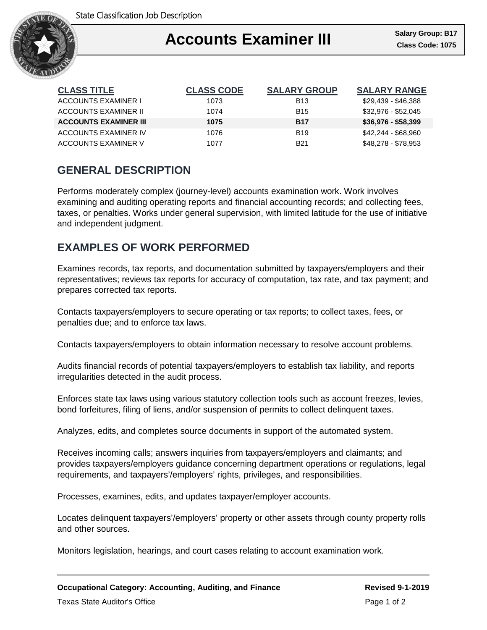

## Ι Accounts Examiner III **Salary Group: B17**

| <b>CLASS TITLE</b>           | <b>CLASS CODE</b> | <b>SALARY GROUP</b> | <b>SALARY RANGE</b> |
|------------------------------|-------------------|---------------------|---------------------|
| ACCOUNTS EXAMINER I          | 1073              | <b>B13</b>          | \$29,439 - \$46,388 |
| ACCOUNTS EXAMINER II         | 1074              | <b>B15</b>          | \$32,976 - \$52,045 |
| <b>ACCOUNTS EXAMINER III</b> | 1075              | <b>B17</b>          | $$36,976 - $58,399$ |
| ACCOUNTS EXAMINER IV         | 1076              | <b>B19</b>          | \$42.244 - \$68.960 |
| ACCOUNTS EXAMINER V          | 1077              | <b>B21</b>          | \$48,278 - \$78,953 |

# **GENERAL DESCRIPTION**

Performs moderately complex (journey-level) accounts examination work. Work involves examining and auditing operating reports and financial accounting records; and collecting fees, taxes, or penalties. Works under general supervision, with limited latitude for the use of initiative and independent judgment.

## **EXAMPLES OF WORK PERFORMED**

Examines records, tax reports, and documentation submitted by taxpayers/employers and their representatives; reviews tax reports for accuracy of computation, tax rate, and tax payment; and prepares corrected tax reports.

Contacts taxpayers/employers to secure operating or tax reports; to collect taxes, fees, or penalties due; and to enforce tax laws.

Contacts taxpayers/employers to obtain information necessary to resolve account problems.

Audits financial records of potential taxpayers/employers to establish tax liability, and reports irregularities detected in the audit process.

Enforces state tax laws using various statutory collection tools such as account freezes, levies, bond forfeitures, filing of liens, and/or suspension of permits to collect delinquent taxes.

Analyzes, edits, and completes source documents in support of the automated system.

Receives incoming calls; answers inquiries from taxpayers/employers and claimants; and provides taxpayers/employers guidance concerning department operations or regulations, legal requirements, and taxpayers'/employers' rights, privileges, and responsibilities.

Processes, examines, edits, and updates taxpayer/employer accounts.

Locates delinquent taxpayers'/employers' property or other assets through county property rolls and other sources.

Monitors legislation, hearings, and court cases relating to account examination work.